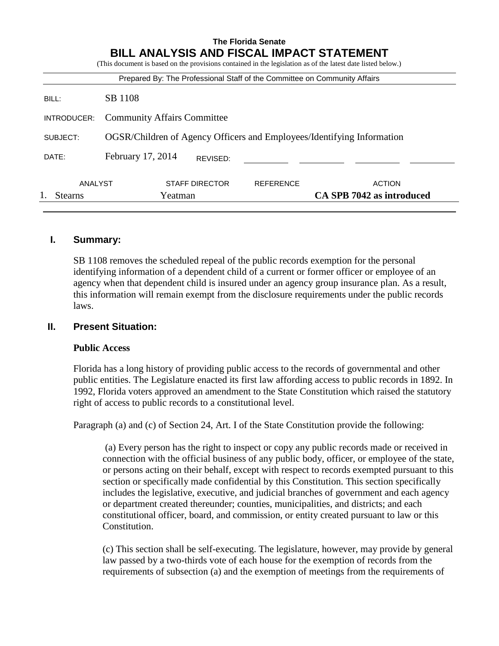| <b>The Florida Senate</b><br><b>BILL ANALYSIS AND FISCAL IMPACT STATEMENT</b><br>(This document is based on the provisions contained in the legislation as of the latest date listed below.) |                                                                        |                       |                           |                                                                           |
|----------------------------------------------------------------------------------------------------------------------------------------------------------------------------------------------|------------------------------------------------------------------------|-----------------------|---------------------------|---------------------------------------------------------------------------|
|                                                                                                                                                                                              |                                                                        |                       |                           | Prepared By: The Professional Staff of the Committee on Community Affairs |
| BILL:                                                                                                                                                                                        | SB 1108                                                                |                       |                           |                                                                           |
| INTRODUCER:                                                                                                                                                                                  | <b>Community Affairs Committee</b>                                     |                       |                           |                                                                           |
| SUBJECT:                                                                                                                                                                                     | OGSR/Children of Agency Officers and Employees/Identifying Information |                       |                           |                                                                           |
| DATE:                                                                                                                                                                                        | February 17, 2014<br>REVISED:                                          |                       |                           |                                                                           |
| ANALYST                                                                                                                                                                                      |                                                                        | <b>STAFF DIRECTOR</b> | <b>REFERENCE</b>          | <b>ACTION</b>                                                             |
| <b>Stearns</b>                                                                                                                                                                               | Yeatman                                                                |                       | CA SPB 7042 as introduced |                                                                           |

### **I. Summary:**

SB 1108 removes the scheduled repeal of the public records exemption for the personal identifying information of a dependent child of a current or former officer or employee of an agency when that dependent child is insured under an agency group insurance plan. As a result, this information will remain exempt from the disclosure requirements under the public records laws.

#### **II. Present Situation:**

#### **Public Access**

Florida has a long history of providing public access to the records of governmental and other public entities. The Legislature enacted its first law affording access to public records in 1892. In 1992, Florida voters approved an amendment to the State Constitution which raised the statutory right of access to public records to a constitutional level.

Paragraph (a) and (c) of Section 24, Art. I of the State Constitution provide the following:

(a) Every person has the right to inspect or copy any public records made or received in connection with the official business of any public body, officer, or employee of the state, or persons acting on their behalf, except with respect to records exempted pursuant to this section or specifically made confidential by this Constitution. This section specifically includes the legislative, executive, and judicial branches of government and each agency or department created thereunder; counties, municipalities, and districts; and each constitutional officer, board, and commission, or entity created pursuant to law or this Constitution.

(c) This section shall be self-executing. The legislature, however, may provide by general law passed by a two-thirds vote of each house for the exemption of records from the requirements of subsection (a) and the exemption of meetings from the requirements of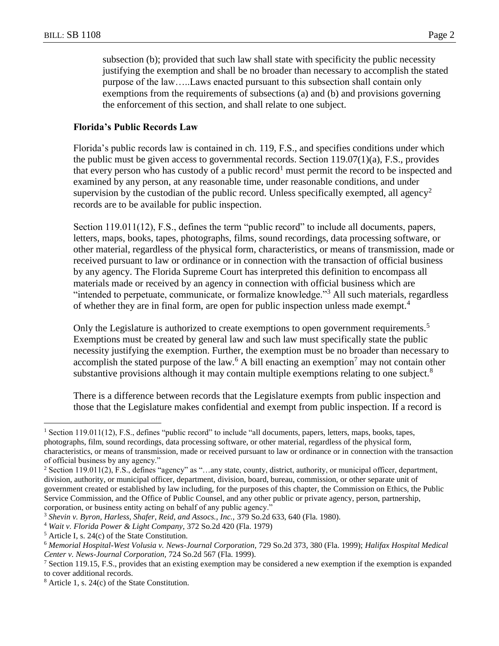subsection (b); provided that such law shall state with specificity the public necessity justifying the exemption and shall be no broader than necessary to accomplish the stated purpose of the law…..Laws enacted pursuant to this subsection shall contain only exemptions from the requirements of subsections (a) and (b) and provisions governing the enforcement of this section, and shall relate to one subject.

#### **Florida's Public Records Law**

Florida's public records law is contained in ch. 119, F.S., and specifies conditions under which the public must be given access to governmental records. Section  $119.07(1)(a)$ , F.S., provides that every person who has custody of a public record<sup>1</sup> must permit the record to be inspected and examined by any person, at any reasonable time, under reasonable conditions, and under supervision by the custodian of the public record. Unless specifically exempted, all agency<sup>2</sup> records are to be available for public inspection.

Section 119.011(12), F.S., defines the term "public record" to include all documents, papers, letters, maps, books, tapes, photographs, films, sound recordings, data processing software, or other material, regardless of the physical form, characteristics, or means of transmission, made or received pursuant to law or ordinance or in connection with the transaction of official business by any agency. The Florida Supreme Court has interpreted this definition to encompass all materials made or received by an agency in connection with official business which are "intended to perpetuate, communicate, or formalize knowledge."<sup>3</sup> All such materials, regardless of whether they are in final form, are open for public inspection unless made exempt.<sup>4</sup>

Only the Legislature is authorized to create exemptions to open government requirements.<sup>5</sup> Exemptions must be created by general law and such law must specifically state the public necessity justifying the exemption. Further, the exemption must be no broader than necessary to accomplish the stated purpose of the law.<sup>6</sup> A bill enacting an exemption<sup>7</sup> may not contain other substantive provisions although it may contain multiple exemptions relating to one subject.<sup>8</sup>

There is a difference between records that the Legislature exempts from public inspection and those that the Legislature makes confidential and exempt from public inspection. If a record is

 $\overline{a}$ 

<sup>&</sup>lt;sup>1</sup> Section 119.011(12), F.S., defines "public record" to include "all documents, papers, letters, maps, books, tapes, photographs, film, sound recordings, data processing software, or other material, regardless of the physical form, characteristics, or means of transmission, made or received pursuant to law or ordinance or in connection with the transaction of official business by any agency."

<sup>2</sup> Section 119.011(2), F.S., defines "agency" as "…any state, county, district, authority, or municipal officer, department, division, authority, or municipal officer, department, division, board, bureau, commission, or other separate unit of government created or established by law including, for the purposes of this chapter, the Commission on Ethics, the Public Service Commission, and the Office of Public Counsel, and any other public or private agency, person, partnership, corporation, or business entity acting on behalf of any public agency."

<sup>3</sup> *Shevin v. Byron, Harless, Shafer, Reid, and Assocs., Inc.,* 379 So.2d 633, 640 (Fla. 1980).

<sup>4</sup> *Wait v. Florida Power & Light Company,* 372 So.2d 420 (Fla. 1979)

<sup>5</sup> Article I, s. 24(c) of the State Constitution.

<sup>6</sup> *Memorial Hospital-West Volusia v. News-Journal Corporation,* 729 So.2d 373, 380 (Fla. 1999); *Halifax Hospital Medical Center v. News-Journal Corporation,* 724 So.2d 567 (Fla. 1999).

<sup>&</sup>lt;sup>7</sup> Section 119.15, F.S., provides that an existing exemption may be considered a new exemption if the exemption is expanded to cover additional records.

<sup>8</sup> Article 1, s. 24(c) of the State Constitution.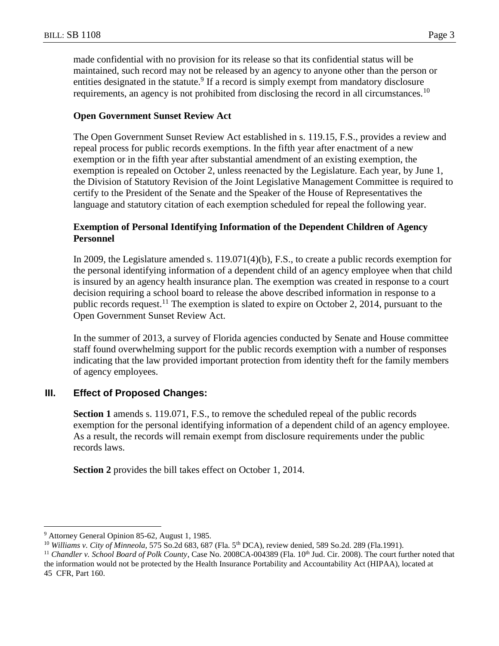made confidential with no provision for its release so that its confidential status will be maintained, such record may not be released by an agency to anyone other than the person or entities designated in the statute.<sup>9</sup> If a record is simply exempt from mandatory disclosure requirements, an agency is not prohibited from disclosing the record in all circumstances.<sup>10</sup>

#### **Open Government Sunset Review Act**

The Open Government Sunset Review Act established in s. 119.15, F.S., provides a review and repeal process for public records exemptions. In the fifth year after enactment of a new exemption or in the fifth year after substantial amendment of an existing exemption, the exemption is repealed on October 2, unless reenacted by the Legislature. Each year, by June 1, the Division of Statutory Revision of the Joint Legislative Management Committee is required to certify to the President of the Senate and the Speaker of the House of Representatives the language and statutory citation of each exemption scheduled for repeal the following year.

#### **Exemption of Personal Identifying Information of the Dependent Children of Agency Personnel**

In 2009, the Legislature amended s. 119.071(4)(b), F.S., to create a public records exemption for the personal identifying information of a dependent child of an agency employee when that child is insured by an agency health insurance plan. The exemption was created in response to a court decision requiring a school board to release the above described information in response to a public records request.<sup>11</sup> The exemption is slated to expire on October 2, 2014, pursuant to the Open Government Sunset Review Act.

In the summer of 2013, a survey of Florida agencies conducted by Senate and House committee staff found overwhelming support for the public records exemption with a number of responses indicating that the law provided important protection from identity theft for the family members of agency employees.

#### **III. Effect of Proposed Changes:**

**Section 1** amends s. 119.071, F.S., to remove the scheduled repeal of the public records exemption for the personal identifying information of a dependent child of an agency employee. As a result, the records will remain exempt from disclosure requirements under the public records laws.

**Section 2** provides the bill takes effect on October 1, 2014.

 $\overline{a}$ 

<sup>9</sup> Attorney General Opinion 85-62, August 1, 1985.

<sup>10</sup> *Williams v. City of Minneola,* 575 So.2d 683, 687 (Fla. 5th DCA), review denied, 589 So.2d. 289 (Fla.1991).

<sup>&</sup>lt;sup>11</sup> *Chandler v. School Board of Polk County*, Case No. 2008CA-004389 (Fla. 10<sup>th</sup> Jud. Cir. 2008). The court further noted that the information would not be protected by the Health Insurance Portability and Accountability Act (HIPAA), located at 45 CFR, Part 160.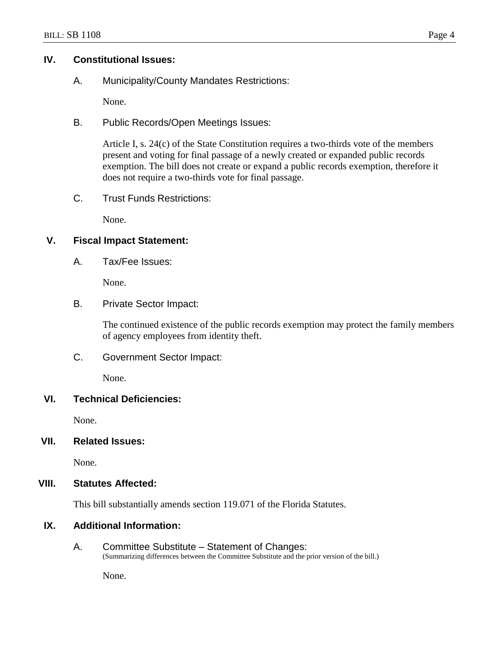#### **IV. Constitutional Issues:**

A. Municipality/County Mandates Restrictions:

None.

B. Public Records/Open Meetings Issues:

Article I, s. 24(c) of the State Constitution requires a two-thirds vote of the members present and voting for final passage of a newly created or expanded public records exemption. The bill does not create or expand a public records exemption, therefore it does not require a two-thirds vote for final passage.

C. Trust Funds Restrictions:

None.

### **V. Fiscal Impact Statement:**

A. Tax/Fee Issues:

None.

#### B. Private Sector Impact:

The continued existence of the public records exemption may protect the family members of agency employees from identity theft.

C. Government Sector Impact:

None.

#### **VI. Technical Deficiencies:**

None.

### **VII. Related Issues:**

None.

#### **VIII. Statutes Affected:**

This bill substantially amends section 119.071 of the Florida Statutes.

## **IX. Additional Information:**

A. Committee Substitute – Statement of Changes: (Summarizing differences between the Committee Substitute and the prior version of the bill.)

None.